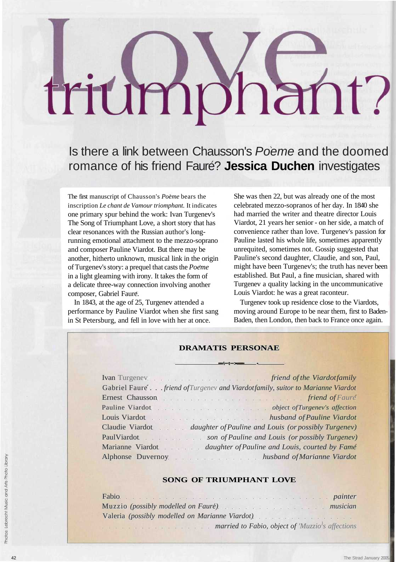# triumphant?

Is there a link between Chausson's Poeme and the doomed romance of his friend Fauré? Jessica Duchen investigates

The first manuscript of Chausson's *Poeme* bears the inscription *Le chant de Vamour triomphant.* It indicates one primary spur behind the work: Ivan Turgenev's The Song of Triumphant Love, a short story that has clear resonances with the Russian author's longrunning emotional attachment to the mezzo-soprano and composer Pauline Viardot. But there may be another, hitherto unknown, musical link in the origin of Turgenev's story: a prequel that casts the *Poeme* in a light gleaming with irony. It takes the form of a delicate three-way connection involving another composer, Gabriel Faure.

In 1843, at the age of 25, Turgenev attended a performance by Pauline Viardot when she first sang in St Petersburg, and fell in love with her at once.

She was then 22, but was already one of the most celebrated mezzo-sopranos of her day. In 1840 she had married the writer and theatre director Louis Viardot, 21 years her senior - on her side, a match of convenience rather than love. Turgenev's passion for Pauline lasted his whole life, sometimes apparently unrequited, sometimes not. Gossip suggested that Pauline's second daughter, Claudie, and son, Paul, might have been Turgenev's; the truth has never been established. But Paul, a fine musician, shared with Turgenev a quality lacking in the uncommunicative Louis Viardot: he was a great raconteur.

Turgenev took up residence close to the Viardots, moving around Europe to be near them, first to Baden-Baden, then London, then back to France once again.

### **DRAMATIS PERSONAE**

**\ t > •**

| Gabriel Faure friend of Turgenev and Viardotfamily, suitor to Marianne Viardot                                                                                                                                                 |
|--------------------------------------------------------------------------------------------------------------------------------------------------------------------------------------------------------------------------------|
|                                                                                                                                                                                                                                |
| Pauline Viardot Charles Contains a Communication Charles Contains a Charles Contains a Charles Contains a Charles Contains a Charles Contains a Charles Contains a Charles Contains a Charles Contains a Charles Contains a Ch |
| Louis Viardot husband of Pauline Viardot                                                                                                                                                                                       |
| Claudie Viardot daughter of Pauline and Louis (or possibly Turgenev)                                                                                                                                                           |
| PaulViardot son of Pauline and Louis (or possibly Turgenev)                                                                                                                                                                    |
| Marianne Viardot Marianne Viardot daughter of Pauline and Louis, courted by Fame                                                                                                                                               |
| Alphonse Duvernoy. Many husband of Marianne Viardot                                                                                                                                                                            |

## **SONG OF TRIUMPHANT LOVE**

| Fabio painter                                                 |  |
|---------------------------------------------------------------|--|
| Muzzio (possibly modelled on Faure) Muzzio (possibly musician |  |
| Valeria (possibly modelled on Marianne Viardot)               |  |
| married to Fabio, object of 'Muzzio's affections              |  |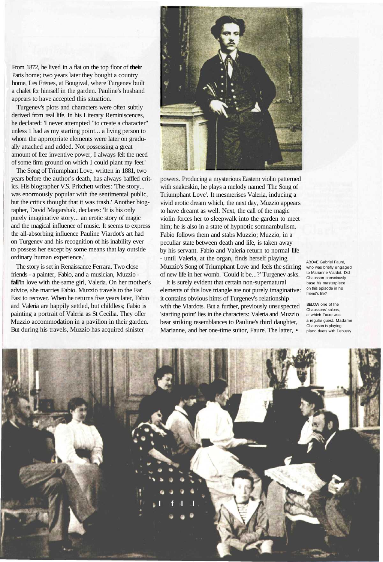From 1872, he lived in a flat on the top floor of **their** Paris home; two years later they bought a country home, Les Frenes, at Bougival, where Turgenev built a chalet for himself in the garden. Pauline's husband appears to have accepted this situation.

Turgenev's plots and characters were often subtly derived from real life. In his Literary Reminiscences, he declared: 'I never attempted "to create a character" unless 1 had as my starting point... a living person to whom the appropriate elements were later on gradually attached and added. Not possessing a great amount of free inventive power, I always felt the need of some firm ground on which I could plant my feet.'

The Song of Triumphant Love, written in 1881, two years before the author's death, has always baffled critics. His biographer V.S. Pritchett writes: 'The story... was enormously popular with the sentimental public, but the critics thought that it was trash.' Another biographer, David Magarshak, declares: 'It is his only purely imaginative story... an erotic story of magic and the magical influence of music. It seems to express the all-absorbing influence Pauline Viardot's art had on Turgenev and his recognition of his inability ever to possess her except by some means that lay outside ordinary human experience.'

The story is set in Renaissance Ferrara. Two close friends - a painter, Fabio, and a musician, Muzzio **fall'**in love with the same girl, Valeria. On her mother's advice, she marries Fabio. Muzzio travels to the Far East to recover. When he returns five years later, Fabio and Valeria are happily settled, but childless; Fabio is painting a portrait of Valeria as St Cecilia. They offer Muzzio accommodation in a pavilion in their garden. But during his travels, Muzzio has acquired sinister



powers. Producing a mysterious Eastern violin patterned with snakeskin, he plays a melody named 'The Song of Triumphant Love'. It mesmerises Valeria, inducing a vivid erotic dream which, the next day, Muzzio appears to have dreamt as well. Next, the call of the magic violin forces her to sleepwalk into the garden to meet him; he is also in a state of hypnotic somnambulism. Fabio follows them and stabs Muzzio; Muzzio, in a peculiar state between death and life, is taken away by his servant. Fabio and Valeria return to normal life - until Valeria, at the organ, finds herself playing Muzzio's Song of Triumphant Love and feels the stirring of new life in her womb. 'Could it be...?' Turgenev asks.

It is surely evident that certain non-supernatural elements of this love triangle are not purely imaginative: it contains obvious hints of Turgenev's relationship with the Viardots. But a further, previously unsuspected 'starting point' lies in the characters: Valeria and Muzzio bear striking resemblances to Pauline's third daughter, Marianne, and her one-time suitor, Faure. The latter, •

ABOVE Gabriel Faure, who was briefly engaged to Marianne Viardot. Did Chausson consciously base his masterpiece on this episode in his friend's life?

BELOW one of the Chaussons' salons, at which Faure was a regular guest. Madame Chausson is playing piano duets with Debussy

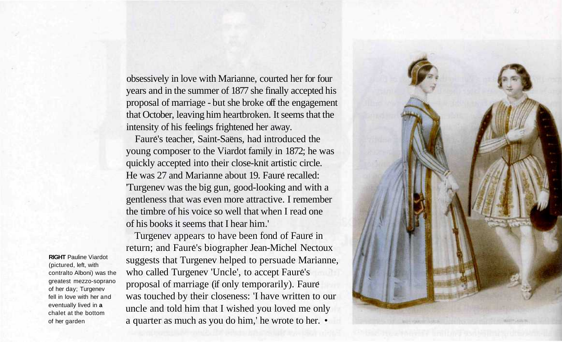obsessively in love with Marianne, courted her for four years and in the summer of 1877 she finally accepted his proposal of marriage - but she broke off the engagement that October, leaving him heartbroken. It seems that the intensity of his feelings frightened her away.

Faure's teacher, Saint-Saens, had introduced the young composer to the Viardot family in 1872; he was quickly accepted into their close-knit artistic circle. He was 27 and Marianne about 19. Faure recalled: 'Turgenev was the big gun, good-looking and with a gentleness that was even more attractive. I remember the timbre of his voice so well that when I read one of his books it seems that I hear him.'

Turgenev appears to have been fond of Faure in return; and Faure's biographer Jean-Michel Nectoux suggests that Turgenev helped to persuade Marianne, who called Turgenev 'Uncle', to accept Faure's proposal of marriage (if only temporarily). Faure was touched by their closeness: 'I have written to our uncle and told him that I wished you loved me only a quarter as much as you do him,' he wrote to her. •



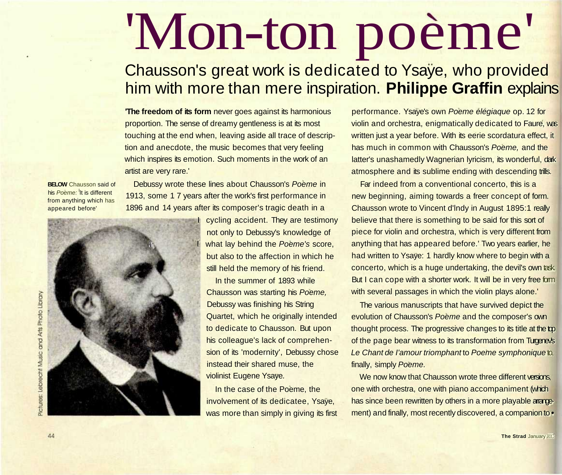# 'Mon-ton poème'

# Chausson's great work is dedicated to Ysaye, who provided him with more than mere inspiration. **Philippe Graffin** explains

**The freedom of its form** never goes against its harmonious proportion. The sense of dreamy gentleness is at its most touching at the end when, leaving aside all trace of description and anecdote, the music becomes that very feeling which inspires its emotion. Such moments in the work of an artist are very rare.'

**BELOW** Chausson said of his Poeme: It is different from anything which has appeared before'

Debussy wrote these lines about Chausson's Poeme in 1913, some 1 7 years after the work's first performance in 1896 and 14 years after its composer's tragic death in a



I cycling accident. They are testimony not only to Debussy's knowledge of what lay behind the Poeme's score, but also to the affection in which he still held the memory of his friend.

In the summer of 1893 while Chausson was starting his Poeme, Debussy was finishing his String Quartet, which he originally intended to dedicate to Chausson. But upon his colleague's lack of comprehension of its 'modernity', Debussy chose instead their shared muse, the violinist Eugene Ysaye.

In the case of the Poeme, the involvement of its dedicatee, Ysaye, was more than simply in giving its first performance. Ysaye's own Poeme elegiaque op. 12 for violin and orchestra, enigmatically dedicated to Faure, was written just a year before. With its eerie scordatura effect, it has much in common with Chausson's Poeme, and the latter's unashamedly Wagnerian lyricism, its wonderful, dark atmosphere and its sublime ending with descending trills.

Far indeed from a conventional concerto, this is a new beginning, aiming towards a freer concept of form. Chausson wrote to Vincent d'lndy in August 1895:1 really believe that there is something to be said for this sort of piece for violin and orchestra, which is very different from anything that has appeared before.' Two years earlier, he had written to Ysaye: 1 hardly know where to begin with a concerto, which is a huge undertaking, the devil's own task. But I can cope with a shorter work. It will be in very free form with several passages in which the violin plays alone.'

The various manuscripts that have survived depict the evolution of Chausson's Poeme and the composer's own thought process. The progressive changes to its title at the top of the page bear witness to its transformation from Turgenev's Le Chant de l'amour triomphant to Poeme symphonique to, finally, simply Poeme.

We now know that Chausson wrote three different versions, one with orchestra, one with piano accompaniment (which has since been rewritten by others in a more playable arrangement) and finally, most recently discovered, a companion to **•**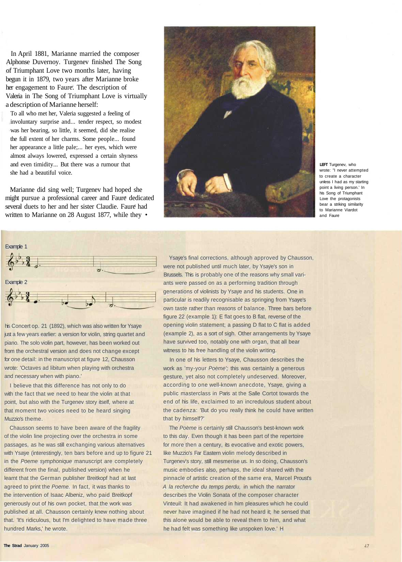In April 1881, Marianne married the composer Alphonse Duvernoy. Turgenev finished The Song of Triumphant Love two months later, having begun it in 1879, two years after Marianne broke her engagement to Faure. The description of Valeria in The Song of Triumphant Love is virtually a description of Marianne herself:

To all who met her, Valeria suggested a feeling of involuntary surprise and... tender respect, so modest was her bearing, so little, it seemed, did she realise the full extent of her charms. Some people... found her appearance a little pale;... her eyes, which were almost always lowered, expressed a certain shyness and even timidity... But there was a rumour that she had a beautiful voice.

Marianne did sing well; Turgenev had hoped she might pursue a professional career and Faure dedicated several duets to her and her sister Claudie. Faure had written to Marianne on 28 August 1877, while they •



**LEFT** Turgenev, who wrote: "I never attempted to create a character unless I had as my starting point a living person.' In his Song of Triumphant Love the protagonists bear a striking similarity to Marianne Viardot and Faure



his Concert op. 21 (1892), which was also written for Ysaye just a few years earlier: a version for violin, string quartet and piano. The solo violin part, however, has been worked out from the orchestral version and does not change except for one detail: in the manuscript at figure 12, Chausson wrote: 'Octaves ad libitum when playing with orchestra and necessary when with piano.'

I believe that this difference has not only to do with the fact that we need to hear the violin at that point, but also with the Turgenev story itself, where at that moment two voices need to be heard singing Muzzio's theme.

Chausson seems to have been aware of the fragility of the violin line projecting over the orchestra in some passages, as he was still exchanging various alternatives with Ysaye (interestingly, ten bars before and up to figure 21 in the Poeme symphonique manuscript are completely different from the final, published version) when he learnt that the German publisher Breitkopf had at last agreed to print the Poeme. In fact, it was thanks to the intervention of Isaac Albeniz, who paid Breitkopf generously out of his own pocket, that the work was published at all. Chausson certainly knew nothing about that. 'It's ridiculous, but I'm delighted to have made three hundred Marks,' he wrote.

Ysaye's final corrections, although approved by Chausson, were not published until much later, by Ysaye's son in Brussels. This is probably one of the reasons why small variants were passed on as a performing tradition through generations of violinists by Ysaye and his students. One in particular is readily recognisable as springing from Ysaye's own taste rather than reasons of balance. Three bars before figure 22 (example 1): E flat goes to B flat, reverse of the opening violin statement; a passing D flat to C flat is added (example 2), as a sort of sigh. Other arrangements by Ysaye have survived too, notably one with organ, that all bear witness to his free handling of the violin writing.

In one of his letters to Ysaye, Chausson describes the work as 'my-your Poeme'; this was certainly a generous gesture, yet also not completely undeserved. Moreover, according to one well-known anecdote, Ysaye, giving a public masterclass in Paris at the Salle Cortot towards the end of his life, exclaimed to an incredulous student about the cadenza: 'But do you really think he could have written that by himself?'

The Poeme is certainly still Chausson's best-known work to this day. Even though it has been part of the repertoire for more then a century, its evocative and exotic powers, like Muzzio's Far Eastern violin melody described in Turgenev's story, still mesmerise us. In so doing, Chausson's music embodies also, perhaps, the ideal shared with the pinnacle of artistic creation of the same era, Marcel Proust's A la recherche du temps perdu, in which the narrator describes the Violin Sonata of the composer character Vinteuil: It had awakened in him pleasures which he could never have imagined if he had not heard it; he sensed that this alone would be able to reveal them to him, and what he had felt was something like unspoken love.' H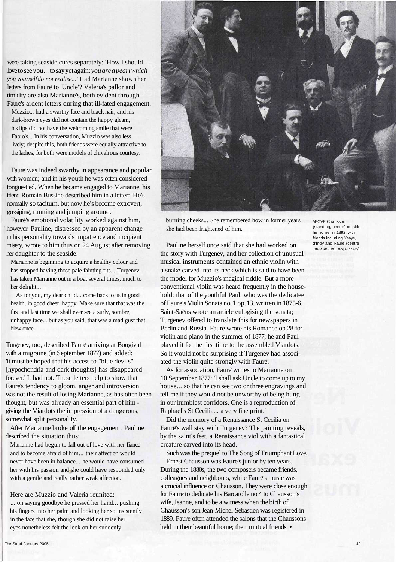were taking seaside cures separately: 'How I should love to see you... to say yet again: *you are a pearl which you yourself do not realise...'* Had Marianne shown her letters from Faure to 'Uncle'? Valeria's pallor and timidity are also Marianne's, both evident through Faure's ardent letters during that ill-fated engagement.

Muzzio... had a swarthy face and black hair, and his dark-brown eyes did not contain the happy gleam, his lips did not have the welcoming smile that were Fabio's... In his conversation, Muzzio was also less lively; despite this, both friends were equally attractive to the ladies, for both were models of chivalrous courtesy.

Faure was indeed swarthy in appearance and popular with women; and in his youth he was often considered tongue-tied. When he became engaged to Marianne, his friend Romain Bussine described him in a letter: 'He's normally so taciturn, but now he's become extrovert, gossiping, running and jumping around.'

Fauré's emotional volatility worked against him, however. Pauline, distressed by an apparent change in his personality towards impatience and incipient misery, wrote to him thus on 24 August after removing her daughter to the seaside:

Marianne is beginning to acquire a healthy colour and has stopped having those pale fainting fits... Turgenev has taken Marianne out in a boat several times, much to her delight...

As for you, my dear child... come back to us in good health, in good cheer, happy. Make sure that that was the first and last time we shall ever see a surly, sombre, unhappy face... but as you said, that was a mad gust that blew once.

Turgenev, too, described Faure arriving at Bougival with a migraine (in September 1877) and added: 'It must be hoped that his access to "blue devils" [hypochondria and dark thoughts] has disappeared forever.' It had not. These letters help to show that Faure's tendency to gloom, anger and introversion was not the result of losing Marianne, as has often been thought, but was already an essential part of him giving the Viardots the impression of a dangerous, somewhat split personality.

After Marianne broke off the engagement, Pauline described the situation thus:

Marianne had begun to fall out of love with her fiance and to become afraid of him... their affection would never have been in balance... he would have consumed her with his passion and she could have responded only with a gentle and really rather weak affection.

Here are Muzzio and Valeria reunited: ... on saying goodbye he pressed her hand... pushing his fingers into her palm and looking her so insistently in the face that she, though she did not raise her eyes nonetheless felt the look on her suddenly



burning cheeks... She remembered how in former years she had been frightened of him.

Pauline herself once said that she had worked on the story with Turgenev, and her collection of unusual musical instruments contained an ethnic violin with a snake carved into its neck which is said to have been the model for Muzzio's magical fiddle. But a more conventional violin was heard frequently in the household: that of the youthful Paul, who was the dedicatee of Faure's Violin Sonata no. 1 op. 13, written in 1875-6. Saint-Saens wrote an article eulogising the sonata; Turgenev offered to translate this for newspapers in Berlin and Russia. Faure wrote his Romance op.28 for violin and piano in the summer of 1877; he and Paul played it for the first time to the assembled Viardots. So it would not be surprising if Turgenev had associated the violin quite strongly with Faure.

As for association, Faure writes to Marianne on 10 September 1877: 'I shall ask Uncle to come up to my house... so that he can see two or three engravings and tell me if they would not be unworthy of being hung in our humblest corridors. One is a reproduction of Raphael's St Cecilia... a very fine print.'

Did the memory of a Renaissance St Cecilia on Faure's wall stay with Turgenev? The painting reveals, by the saint's feet, a Renaissance viol with a fantastical creature carved into its head.

Such was the prequel to The Song of Triumphant Love. Ernest Chausson was Faure's junior by ten years. During the 1880s, the two composers became friends, colleagues and neighbours, while Faure's music was a crucial influence on Chausson. They were close enough for Faure to dedicate his Barcarolle no.4 to Chausson's wife, Jeanne, and to be a witness when the birth of Chausson's son Jean-Michel-Sebastien was registered in 1889. Faure often attended the salons that the Chaussons held in their beautiful home: their mutual friends •

ABOVE Chausson (standing, centre) outside his home, in 1892, with friends including Ysaye, d'lndy and Faure (centre three seated, respectively)